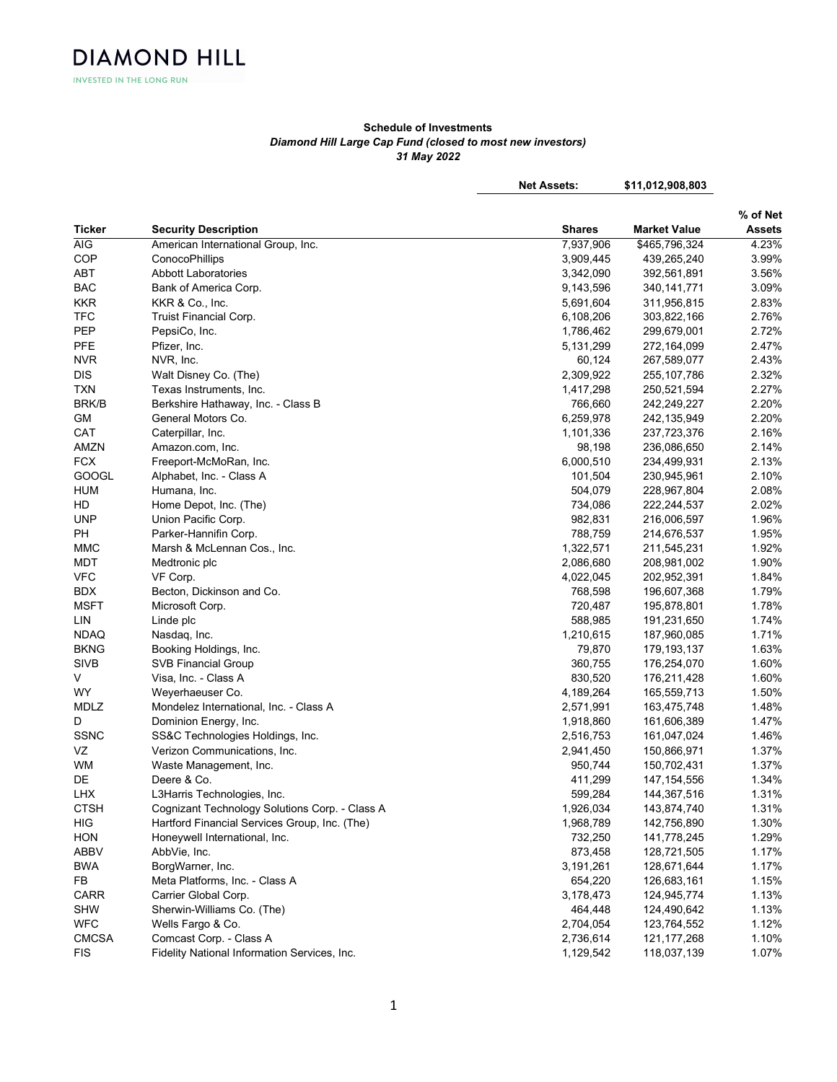**INVESTED IN THE LONG RUN** 

**DIAMOND HILL** 

## Schedule of Investments Diamond Hill Large Cap Fund (closed to most new investors) 31 May 2022

Net Assets: \$11,012,908,803

Ticker Security Description Shares Market Value Shares Market Value % of Net Assets AIG American International Group, Inc.  $7,937,906$  \$465,796,324 4.23% COP ConocoPhillips 3,909,445 439,265,240 3.99% ABT Abbott Laboratories 2.56% Abbott Laboratories 3,542,090 392,561,891 3.56% BAC Bank of America Corp. 9,143,596 340,141,771 3.09% KKR KKR & Co., Inc. 5,691,604 311,956,815 2.83% TFC Truist Financial Corp. 6,108,206 303,822,166 2.76% PEP PepsiCo, Inc. 1,786,462 299,679,001 2.72% PFE Pfizer, Inc. 5,131,299 272,164,099 2.47% NVR NVR, Inc. 60,124 267,589,077 2.43% DIS Walt Disney Co. (The) 2,309,922 255,107,786 2.32% TXN Texas Instruments, Inc. 1,417,298 250,521,594 2.27% BRK/B Berkshire Hathaway, Inc. - Class B 766,660 242,249,227 2.20% GM General Motors Co. 6,259,978 242,135,949 2.20% CAT Caterpillar, Inc. 1,101,336 237,723,376 2.16% AMZN Amazon.com, Inc. 98,198 236,086,650 2.14% FCX Freeport-McMoRan, Inc. 6,000,510 234,499,931 2.13% GOOGL Alphabet, Inc. - Class A 101,504 230,945,961 2.10% HUM Humana, Inc. 504,079 228,967,804 2.08% HD Home Depot, Inc. (The) 734,086 222,244,537 2.02% UNP Union Pacific Corp. 2.6 (2012) 202,831 216,006,597 1.96% PH Parker-Hannifin Corp. 21.95% and 21.95% and 21.95% and 21.95% and 21.95% and 21.95% and 21.95% and 21.95% MMC Marsh & McLennan Cos., Inc. 1,92% and 1,322,571 211,545,231 1.92% MDT Medtronic plc 2,086,680 208,981,002 1.90% VFC VF Corp. 4,022,045 202,952,391 1.84% BDX Becton, Dickinson and Co. 2008 198,607,368 196,607,368 1.79% MSFT Microsoft Corp. 720,487 195,878,801 1.78% LIN Linde plc 588,985 191,231,650 1.74% NDAQ Nasdaq, Inc. 1,210,615 187,960,085 1.71% BKNG Booking Holdings, Inc. 2008 2010 12:30:00 179,870 179,870 179,193,137 1.63% SIVB SVB Financial Group 360,755 176,254,070 1.60% V Visa, Inc. - Class A 830,520 176,211,428 1.60% WY Weyerhaeuser Co. 2008 1.50% and the U.S. 2014 105,559,713 1.50% and the U.S. 2014 105,559,713 1.50% MDLZ Mondelez International, Inc. - Class A 2,571,991 163,475,748 1.48% D Dominion Energy, Inc. 2012 1.47% 2.918,860 161,606,389 1.47% SSNC SS&C Technologies Holdings, Inc. 2,516,753 161,047,024 1.46% VZ Verizon Communications, Inc. 2,941,450 150,866,971 1.37% WM Waste Management, Inc. 2008 2012 12:37% 150,702,431 1.37% 1.37% DE Deere & Co. 411,299 147,154,556 1.34% LHX L3Harris Technologies, Inc. 599,284 144,367,516 1.31% CTSH Cognizant Technology Solutions Corp. - Class A 1,926,034 143,874,740 1.31% HIG Hartford Financial Services Group, Inc. (The) 1,968,789 142,756,890 1.30% HON Honeywell International, Inc. 732,250 141,778,245 1.29% ABBV AbbVie, Inc. 873,458 128,721,505 1.17% BWA BorgWarner, Inc. 3,191,261 128,671,644 1.17% FB Meta Platforms, Inc. - Class A 654,220 126,683,161 1.15% CARR Carrier Global Corp. 3,178,473 124,945,774 1.13% SHW Sherwin-Williams Co. (The) 2008 124,490,642 124,490,642 1.13% WFC Wells Fargo & Co. 2008 2,704,054 123,764,552 1.12% CMCSA Comcast Corp. - Class A 2,736,614 121,177,268 1.10% FIS Fidelity National Information Services, Inc. 1, 1988 1998 107% 118,037,139 1.07%